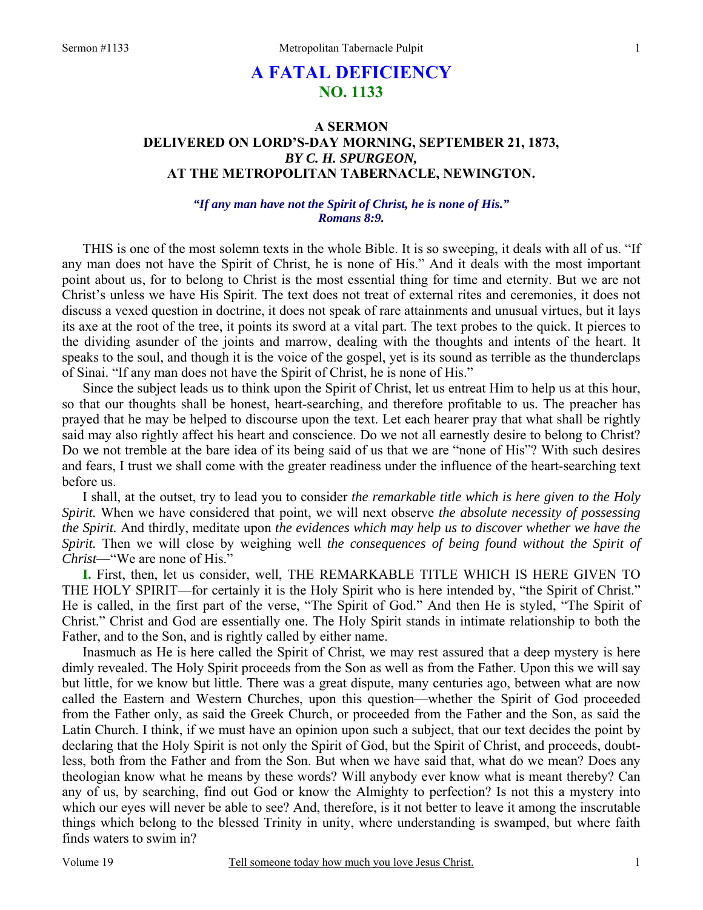# **A FATAL DEFICIENCY NO. 1133**

### **A SERMON DELIVERED ON LORD'S-DAY MORNING, SEPTEMBER 21, 1873,**  *BY C. H. SPURGEON,*  **AT THE METROPOLITAN TABERNACLE, NEWINGTON.**

### *"If any man have not the Spirit of Christ, he is none of His." Romans 8:9.*

THIS is one of the most solemn texts in the whole Bible. It is so sweeping, it deals with all of us. "If any man does not have the Spirit of Christ, he is none of His." And it deals with the most important point about us, for to belong to Christ is the most essential thing for time and eternity. But we are not Christ's unless we have His Spirit. The text does not treat of external rites and ceremonies, it does not discuss a vexed question in doctrine, it does not speak of rare attainments and unusual virtues, but it lays its axe at the root of the tree, it points its sword at a vital part. The text probes to the quick. It pierces to the dividing asunder of the joints and marrow, dealing with the thoughts and intents of the heart. It speaks to the soul, and though it is the voice of the gospel, yet is its sound as terrible as the thunderclaps of Sinai. "If any man does not have the Spirit of Christ, he is none of His."

Since the subject leads us to think upon the Spirit of Christ, let us entreat Him to help us at this hour, so that our thoughts shall be honest, heart-searching, and therefore profitable to us. The preacher has prayed that he may be helped to discourse upon the text. Let each hearer pray that what shall be rightly said may also rightly affect his heart and conscience. Do we not all earnestly desire to belong to Christ? Do we not tremble at the bare idea of its being said of us that we are "none of His"? With such desires and fears, I trust we shall come with the greater readiness under the influence of the heart-searching text before us.

I shall, at the outset, try to lead you to consider *the remarkable title which is here given to the Holy Spirit.* When we have considered that point, we will next observe *the absolute necessity of possessing the Spirit.* And thirdly, meditate upon *the evidences which may help us to discover whether we have the Spirit.* Then we will close by weighing well *the consequences of being found without the Spirit of Christ*—"We are none of His."

**I.** First, then, let us consider, well, THE REMARKABLE TITLE WHICH IS HERE GIVEN TO THE HOLY SPIRIT—for certainly it is the Holy Spirit who is here intended by, "the Spirit of Christ." He is called, in the first part of the verse, "The Spirit of God." And then He is styled, "The Spirit of Christ." Christ and God are essentially one. The Holy Spirit stands in intimate relationship to both the Father, and to the Son, and is rightly called by either name.

Inasmuch as He is here called the Spirit of Christ, we may rest assured that a deep mystery is here dimly revealed. The Holy Spirit proceeds from the Son as well as from the Father. Upon this we will say but little, for we know but little. There was a great dispute, many centuries ago, between what are now called the Eastern and Western Churches, upon this question—whether the Spirit of God proceeded from the Father only, as said the Greek Church, or proceeded from the Father and the Son, as said the Latin Church. I think, if we must have an opinion upon such a subject, that our text decides the point by declaring that the Holy Spirit is not only the Spirit of God, but the Spirit of Christ, and proceeds, doubtless, both from the Father and from the Son. But when we have said that, what do we mean? Does any theologian know what he means by these words? Will anybody ever know what is meant thereby? Can any of us, by searching, find out God or know the Almighty to perfection? Is not this a mystery into which our eyes will never be able to see? And, therefore, is it not better to leave it among the inscrutable things which belong to the blessed Trinity in unity, where understanding is swamped, but where faith finds waters to swim in?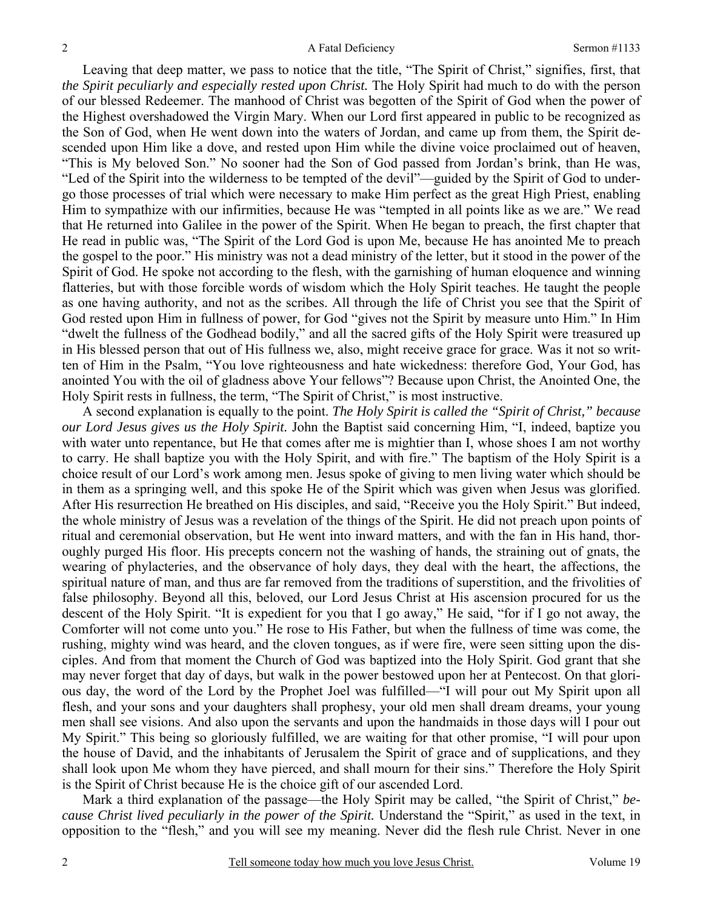Leaving that deep matter, we pass to notice that the title, "The Spirit of Christ," signifies, first, that *the Spirit peculiarly and especially rested upon Christ.* The Holy Spirit had much to do with the person of our blessed Redeemer. The manhood of Christ was begotten of the Spirit of God when the power of the Highest overshadowed the Virgin Mary. When our Lord first appeared in public to be recognized as the Son of God, when He went down into the waters of Jordan, and came up from them, the Spirit descended upon Him like a dove, and rested upon Him while the divine voice proclaimed out of heaven, "This is My beloved Son." No sooner had the Son of God passed from Jordan's brink, than He was, "Led of the Spirit into the wilderness to be tempted of the devil"—guided by the Spirit of God to undergo those processes of trial which were necessary to make Him perfect as the great High Priest, enabling Him to sympathize with our infirmities, because He was "tempted in all points like as we are." We read that He returned into Galilee in the power of the Spirit. When He began to preach, the first chapter that He read in public was, "The Spirit of the Lord God is upon Me, because He has anointed Me to preach the gospel to the poor." His ministry was not a dead ministry of the letter, but it stood in the power of the Spirit of God. He spoke not according to the flesh, with the garnishing of human eloquence and winning flatteries, but with those forcible words of wisdom which the Holy Spirit teaches. He taught the people as one having authority, and not as the scribes. All through the life of Christ you see that the Spirit of God rested upon Him in fullness of power, for God "gives not the Spirit by measure unto Him." In Him "dwelt the fullness of the Godhead bodily," and all the sacred gifts of the Holy Spirit were treasured up in His blessed person that out of His fullness we, also, might receive grace for grace. Was it not so written of Him in the Psalm, "You love righteousness and hate wickedness: therefore God, Your God, has anointed You with the oil of gladness above Your fellows"? Because upon Christ, the Anointed One, the Holy Spirit rests in fullness, the term, "The Spirit of Christ," is most instructive.

A second explanation is equally to the point. *The Holy Spirit is called the "Spirit of Christ," because our Lord Jesus gives us the Holy Spirit.* John the Baptist said concerning Him, "I, indeed, baptize you with water unto repentance, but He that comes after me is mightier than I, whose shoes I am not worthy to carry. He shall baptize you with the Holy Spirit, and with fire." The baptism of the Holy Spirit is a choice result of our Lord's work among men. Jesus spoke of giving to men living water which should be in them as a springing well, and this spoke He of the Spirit which was given when Jesus was glorified. After His resurrection He breathed on His disciples, and said, "Receive you the Holy Spirit." But indeed, the whole ministry of Jesus was a revelation of the things of the Spirit. He did not preach upon points of ritual and ceremonial observation, but He went into inward matters, and with the fan in His hand, thoroughly purged His floor. His precepts concern not the washing of hands, the straining out of gnats, the wearing of phylacteries, and the observance of holy days, they deal with the heart, the affections, the spiritual nature of man, and thus are far removed from the traditions of superstition, and the frivolities of false philosophy. Beyond all this, beloved, our Lord Jesus Christ at His ascension procured for us the descent of the Holy Spirit. "It is expedient for you that I go away," He said, "for if I go not away, the Comforter will not come unto you." He rose to His Father, but when the fullness of time was come, the rushing, mighty wind was heard, and the cloven tongues, as if were fire, were seen sitting upon the disciples. And from that moment the Church of God was baptized into the Holy Spirit. God grant that she may never forget that day of days, but walk in the power bestowed upon her at Pentecost. On that glorious day, the word of the Lord by the Prophet Joel was fulfilled—"I will pour out My Spirit upon all flesh, and your sons and your daughters shall prophesy, your old men shall dream dreams, your young men shall see visions. And also upon the servants and upon the handmaids in those days will I pour out My Spirit." This being so gloriously fulfilled, we are waiting for that other promise, "I will pour upon the house of David, and the inhabitants of Jerusalem the Spirit of grace and of supplications, and they shall look upon Me whom they have pierced, and shall mourn for their sins." Therefore the Holy Spirit is the Spirit of Christ because He is the choice gift of our ascended Lord.

Mark a third explanation of the passage—the Holy Spirit may be called, "the Spirit of Christ," *because Christ lived peculiarly in the power of the Spirit.* Understand the "Spirit," as used in the text, in opposition to the "flesh," and you will see my meaning. Never did the flesh rule Christ. Never in one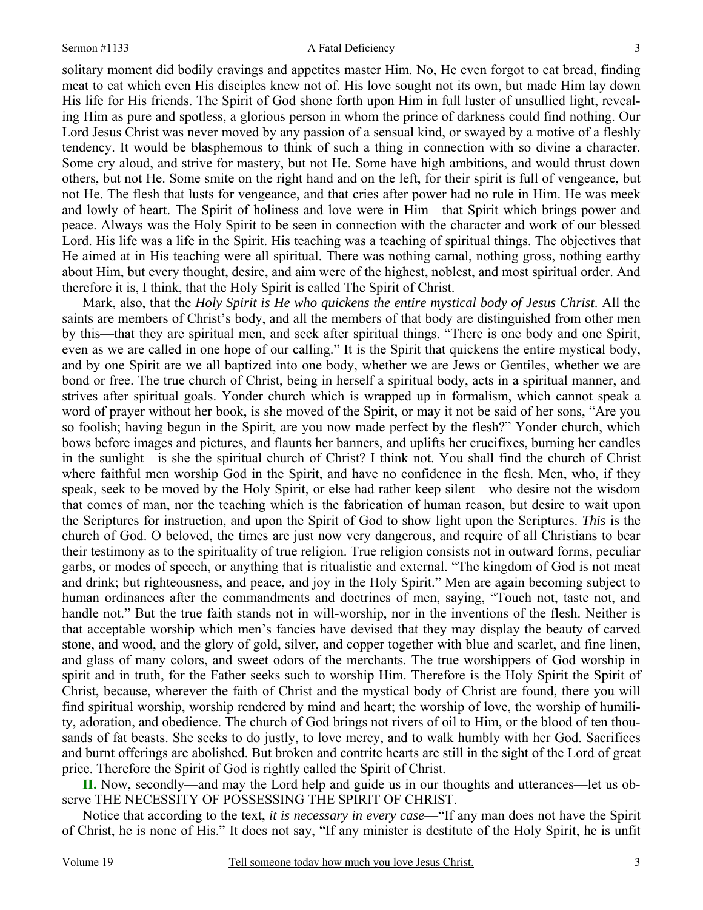#### Sermon #1133 A Fatal Deficiency

3

solitary moment did bodily cravings and appetites master Him. No, He even forgot to eat bread, finding meat to eat which even His disciples knew not of. His love sought not its own, but made Him lay down His life for His friends. The Spirit of God shone forth upon Him in full luster of unsullied light, revealing Him as pure and spotless, a glorious person in whom the prince of darkness could find nothing. Our Lord Jesus Christ was never moved by any passion of a sensual kind, or swayed by a motive of a fleshly tendency. It would be blasphemous to think of such a thing in connection with so divine a character. Some cry aloud, and strive for mastery, but not He. Some have high ambitions, and would thrust down others, but not He. Some smite on the right hand and on the left, for their spirit is full of vengeance, but not He. The flesh that lusts for vengeance, and that cries after power had no rule in Him. He was meek and lowly of heart. The Spirit of holiness and love were in Him—that Spirit which brings power and peace. Always was the Holy Spirit to be seen in connection with the character and work of our blessed Lord. His life was a life in the Spirit. His teaching was a teaching of spiritual things. The objectives that He aimed at in His teaching were all spiritual. There was nothing carnal, nothing gross, nothing earthy about Him, but every thought, desire, and aim were of the highest, noblest, and most spiritual order. And therefore it is, I think, that the Holy Spirit is called The Spirit of Christ.

Mark, also, that the *Holy Spirit is He who quickens the entire mystical body of Jesus Christ*. All the saints are members of Christ's body, and all the members of that body are distinguished from other men by this—that they are spiritual men, and seek after spiritual things. "There is one body and one Spirit, even as we are called in one hope of our calling." It is the Spirit that quickens the entire mystical body, and by one Spirit are we all baptized into one body, whether we are Jews or Gentiles, whether we are bond or free. The true church of Christ, being in herself a spiritual body, acts in a spiritual manner, and strives after spiritual goals. Yonder church which is wrapped up in formalism, which cannot speak a word of prayer without her book, is she moved of the Spirit, or may it not be said of her sons, "Are you so foolish; having begun in the Spirit, are you now made perfect by the flesh?" Yonder church, which bows before images and pictures, and flaunts her banners, and uplifts her crucifixes, burning her candles in the sunlight—is she the spiritual church of Christ? I think not. You shall find the church of Christ where faithful men worship God in the Spirit, and have no confidence in the flesh. Men, who, if they speak, seek to be moved by the Holy Spirit, or else had rather keep silent—who desire not the wisdom that comes of man, nor the teaching which is the fabrication of human reason, but desire to wait upon the Scriptures for instruction, and upon the Spirit of God to show light upon the Scriptures. *This* is the church of God. O beloved, the times are just now very dangerous, and require of all Christians to bear their testimony as to the spirituality of true religion. True religion consists not in outward forms, peculiar garbs, or modes of speech, or anything that is ritualistic and external. "The kingdom of God is not meat and drink; but righteousness, and peace, and joy in the Holy Spirit." Men are again becoming subject to human ordinances after the commandments and doctrines of men, saying, "Touch not, taste not, and handle not." But the true faith stands not in will-worship, nor in the inventions of the flesh. Neither is that acceptable worship which men's fancies have devised that they may display the beauty of carved stone, and wood, and the glory of gold, silver, and copper together with blue and scarlet, and fine linen, and glass of many colors, and sweet odors of the merchants. The true worshippers of God worship in spirit and in truth, for the Father seeks such to worship Him. Therefore is the Holy Spirit the Spirit of Christ, because, wherever the faith of Christ and the mystical body of Christ are found, there you will find spiritual worship, worship rendered by mind and heart; the worship of love, the worship of humility, adoration, and obedience. The church of God brings not rivers of oil to Him, or the blood of ten thousands of fat beasts. She seeks to do justly, to love mercy, and to walk humbly with her God. Sacrifices and burnt offerings are abolished. But broken and contrite hearts are still in the sight of the Lord of great price. Therefore the Spirit of God is rightly called the Spirit of Christ.

**II.** Now, secondly—and may the Lord help and guide us in our thoughts and utterances—let us observe THE NECESSITY OF POSSESSING THE SPIRIT OF CHRIST.

Notice that according to the text, *it is necessary in every case*—"If any man does not have the Spirit of Christ, he is none of His." It does not say, "If any minister is destitute of the Holy Spirit, he is unfit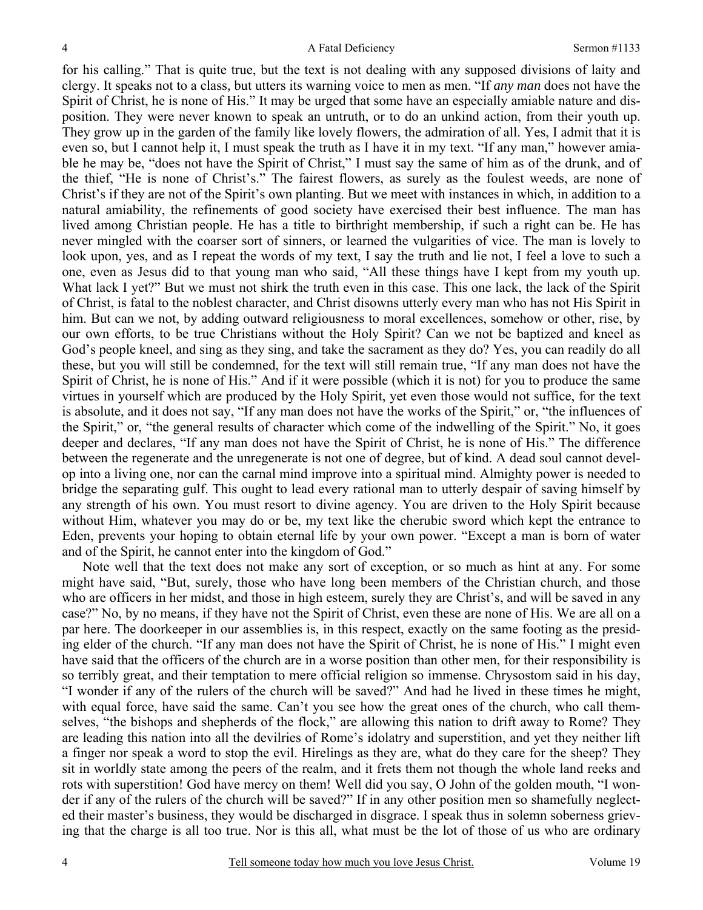for his calling." That is quite true, but the text is not dealing with any supposed divisions of laity and clergy. It speaks not to a class*,* but utters its warning voice to men as men. "If *any man* does not have the Spirit of Christ, he is none of His." It may be urged that some have an especially amiable nature and disposition. They were never known to speak an untruth, or to do an unkind action, from their youth up. They grow up in the garden of the family like lovely flowers, the admiration of all. Yes, I admit that it is even so, but I cannot help it, I must speak the truth as I have it in my text. "If any man," however amiable he may be, "does not have the Spirit of Christ," I must say the same of him as of the drunk, and of the thief, "He is none of Christ's." The fairest flowers, as surely as the foulest weeds, are none of Christ's if they are not of the Spirit's own planting. But we meet with instances in which, in addition to a natural amiability, the refinements of good society have exercised their best influence. The man has lived among Christian people. He has a title to birthright membership, if such a right can be. He has never mingled with the coarser sort of sinners, or learned the vulgarities of vice. The man is lovely to look upon, yes, and as I repeat the words of my text, I say the truth and lie not, I feel a love to such a one, even as Jesus did to that young man who said, "All these things have I kept from my youth up. What lack I yet?" But we must not shirk the truth even in this case. This one lack, the lack of the Spirit of Christ, is fatal to the noblest character, and Christ disowns utterly every man who has not His Spirit in him. But can we not, by adding outward religiousness to moral excellences, somehow or other, rise, by our own efforts, to be true Christians without the Holy Spirit? Can we not be baptized and kneel as God's people kneel, and sing as they sing, and take the sacrament as they do? Yes, you can readily do all these, but you will still be condemned, for the text will still remain true, "If any man does not have the Spirit of Christ, he is none of His." And if it were possible (which it is not) for you to produce the same virtues in yourself which are produced by the Holy Spirit, yet even those would not suffice, for the text is absolute, and it does not say, "If any man does not have the works of the Spirit," or, "the influences of the Spirit," or, "the general results of character which come of the indwelling of the Spirit." No, it goes deeper and declares, "If any man does not have the Spirit of Christ, he is none of His." The difference between the regenerate and the unregenerate is not one of degree, but of kind. A dead soul cannot develop into a living one, nor can the carnal mind improve into a spiritual mind. Almighty power is needed to bridge the separating gulf. This ought to lead every rational man to utterly despair of saving himself by any strength of his own. You must resort to divine agency. You are driven to the Holy Spirit because without Him, whatever you may do or be, my text like the cherubic sword which kept the entrance to Eden, prevents your hoping to obtain eternal life by your own power. "Except a man is born of water and of the Spirit, he cannot enter into the kingdom of God."

Note well that the text does not make any sort of exception, or so much as hint at any. For some might have said, "But, surely, those who have long been members of the Christian church, and those who are officers in her midst, and those in high esteem, surely they are Christ's, and will be saved in any case?" No, by no means, if they have not the Spirit of Christ, even these are none of His. We are all on a par here. The doorkeeper in our assemblies is, in this respect, exactly on the same footing as the presiding elder of the church. "If any man does not have the Spirit of Christ, he is none of His." I might even have said that the officers of the church are in a worse position than other men, for their responsibility is so terribly great, and their temptation to mere official religion so immense. Chrysostom said in his day, "I wonder if any of the rulers of the church will be saved?" And had he lived in these times he might, with equal force, have said the same. Can't you see how the great ones of the church, who call themselves, "the bishops and shepherds of the flock," are allowing this nation to drift away to Rome? They are leading this nation into all the devilries of Rome's idolatry and superstition, and yet they neither lift a finger nor speak a word to stop the evil. Hirelings as they are, what do they care for the sheep? They sit in worldly state among the peers of the realm, and it frets them not though the whole land reeks and rots with superstition! God have mercy on them! Well did you say, O John of the golden mouth, "I wonder if any of the rulers of the church will be saved?" If in any other position men so shamefully neglected their master's business, they would be discharged in disgrace. I speak thus in solemn soberness grieving that the charge is all too true. Nor is this all, what must be the lot of those of us who are ordinary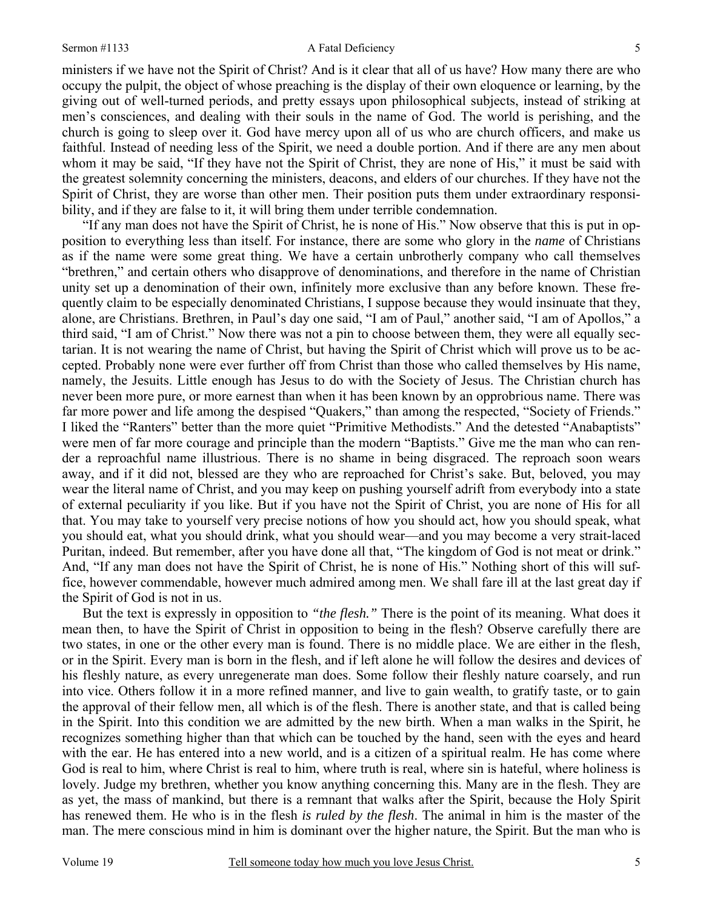#### Sermon #1133 A Fatal Deficiency

ministers if we have not the Spirit of Christ? And is it clear that all of us have? How many there are who occupy the pulpit, the object of whose preaching is the display of their own eloquence or learning, by the giving out of well-turned periods, and pretty essays upon philosophical subjects, instead of striking at men's consciences, and dealing with their souls in the name of God. The world is perishing, and the church is going to sleep over it. God have mercy upon all of us who are church officers, and make us faithful. Instead of needing less of the Spirit, we need a double portion. And if there are any men about whom it may be said, "If they have not the Spirit of Christ, they are none of His," it must be said with the greatest solemnity concerning the ministers, deacons, and elders of our churches. If they have not the Spirit of Christ, they are worse than other men. Their position puts them under extraordinary responsibility, and if they are false to it, it will bring them under terrible condemnation.

"If any man does not have the Spirit of Christ, he is none of His." Now observe that this is put in opposition to everything less than itself. For instance, there are some who glory in the *name* of Christians as if the name were some great thing. We have a certain unbrotherly company who call themselves "brethren," and certain others who disapprove of denominations, and therefore in the name of Christian unity set up a denomination of their own, infinitely more exclusive than any before known. These frequently claim to be especially denominated Christians, I suppose because they would insinuate that they, alone, are Christians. Brethren, in Paul's day one said, "I am of Paul," another said, "I am of Apollos," a third said, "I am of Christ." Now there was not a pin to choose between them, they were all equally sectarian. It is not wearing the name of Christ, but having the Spirit of Christ which will prove us to be accepted. Probably none were ever further off from Christ than those who called themselves by His name, namely, the Jesuits. Little enough has Jesus to do with the Society of Jesus. The Christian church has never been more pure, or more earnest than when it has been known by an opprobrious name. There was far more power and life among the despised "Quakers," than among the respected, "Society of Friends." I liked the "Ranters" better than the more quiet "Primitive Methodists." And the detested "Anabaptists" were men of far more courage and principle than the modern "Baptists." Give me the man who can render a reproachful name illustrious. There is no shame in being disgraced. The reproach soon wears away, and if it did not, blessed are they who are reproached for Christ's sake. But, beloved, you may wear the literal name of Christ, and you may keep on pushing yourself adrift from everybody into a state of external peculiarity if you like. But if you have not the Spirit of Christ, you are none of His for all that. You may take to yourself very precise notions of how you should act, how you should speak, what you should eat, what you should drink, what you should wear—and you may become a very strait-laced Puritan, indeed. But remember, after you have done all that, "The kingdom of God is not meat or drink." And, "If any man does not have the Spirit of Christ, he is none of His." Nothing short of this will suffice, however commendable, however much admired among men. We shall fare ill at the last great day if the Spirit of God is not in us.

But the text is expressly in opposition to *"the flesh."* There is the point of its meaning. What does it mean then, to have the Spirit of Christ in opposition to being in the flesh? Observe carefully there are two states, in one or the other every man is found. There is no middle place. We are either in the flesh, or in the Spirit. Every man is born in the flesh, and if left alone he will follow the desires and devices of his fleshly nature, as every unregenerate man does. Some follow their fleshly nature coarsely, and run into vice. Others follow it in a more refined manner, and live to gain wealth, to gratify taste, or to gain the approval of their fellow men, all which is of the flesh. There is another state, and that is called being in the Spirit. Into this condition we are admitted by the new birth. When a man walks in the Spirit, he recognizes something higher than that which can be touched by the hand, seen with the eyes and heard with the ear. He has entered into a new world, and is a citizen of a spiritual realm. He has come where God is real to him, where Christ is real to him, where truth is real, where sin is hateful, where holiness is lovely. Judge my brethren, whether you know anything concerning this. Many are in the flesh. They are as yet, the mass of mankind, but there is a remnant that walks after the Spirit, because the Holy Spirit has renewed them. He who is in the flesh *is ruled by the flesh*. The animal in him is the master of the man. The mere conscious mind in him is dominant over the higher nature, the Spirit. But the man who is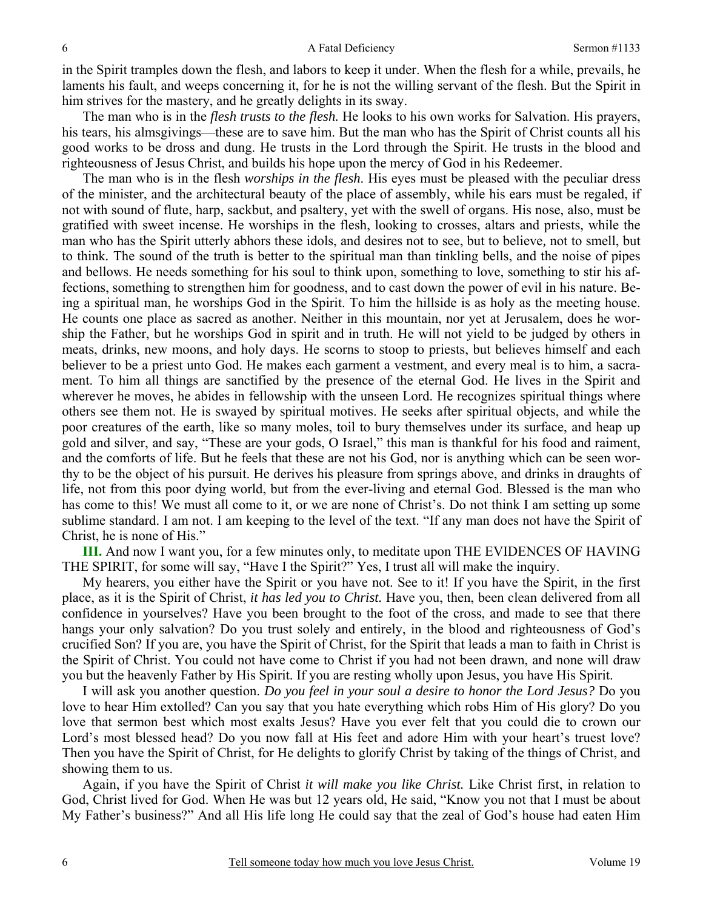in the Spirit tramples down the flesh, and labors to keep it under. When the flesh for a while, prevails, he laments his fault, and weeps concerning it, for he is not the willing servant of the flesh. But the Spirit in him strives for the mastery, and he greatly delights in its sway.

The man who is in the *flesh trusts to the flesh.* He looks to his own works for Salvation. His prayers, his tears, his almsgivings—these are to save him. But the man who has the Spirit of Christ counts all his good works to be dross and dung. He trusts in the Lord through the Spirit. He trusts in the blood and righteousness of Jesus Christ, and builds his hope upon the mercy of God in his Redeemer.

The man who is in the flesh *worships in the flesh*. His eyes must be pleased with the peculiar dress of the minister, and the architectural beauty of the place of assembly, while his ears must be regaled, if not with sound of flute, harp, sackbut, and psaltery, yet with the swell of organs. His nose, also, must be gratified with sweet incense. He worships in the flesh, looking to crosses, altars and priests, while the man who has the Spirit utterly abhors these idols, and desires not to see, but to believe*,* not to smell, but to think*.* The sound of the truth is better to the spiritual man than tinkling bells, and the noise of pipes and bellows. He needs something for his soul to think upon, something to love, something to stir his affections, something to strengthen him for goodness, and to cast down the power of evil in his nature. Being a spiritual man, he worships God in the Spirit. To him the hillside is as holy as the meeting house. He counts one place as sacred as another. Neither in this mountain, nor yet at Jerusalem, does he worship the Father, but he worships God in spirit and in truth. He will not yield to be judged by others in meats, drinks, new moons, and holy days. He scorns to stoop to priests, but believes himself and each believer to be a priest unto God. He makes each garment a vestment, and every meal is to him, a sacrament. To him all things are sanctified by the presence of the eternal God. He lives in the Spirit and wherever he moves, he abides in fellowship with the unseen Lord. He recognizes spiritual things where others see them not. He is swayed by spiritual motives. He seeks after spiritual objects, and while the poor creatures of the earth, like so many moles, toil to bury themselves under its surface, and heap up gold and silver, and say, "These are your gods, O Israel," this man is thankful for his food and raiment, and the comforts of life. But he feels that these are not his God, nor is anything which can be seen worthy to be the object of his pursuit. He derives his pleasure from springs above, and drinks in draughts of life, not from this poor dying world, but from the ever-living and eternal God. Blessed is the man who has come to this! We must all come to it, or we are none of Christ's. Do not think I am setting up some sublime standard. I am not. I am keeping to the level of the text. "If any man does not have the Spirit of Christ, he is none of His."

**III.** And now I want you, for a few minutes only, to meditate upon THE EVIDENCES OF HAVING THE SPIRIT, for some will say, "Have I the Spirit?" Yes, I trust all will make the inquiry.

My hearers, you either have the Spirit or you have not. See to it! If you have the Spirit, in the first place, as it is the Spirit of Christ, *it has led you to Christ.* Have you, then, been clean delivered from all confidence in yourselves? Have you been brought to the foot of the cross, and made to see that there hangs your only salvation? Do you trust solely and entirely, in the blood and righteousness of God's crucified Son? If you are, you have the Spirit of Christ, for the Spirit that leads a man to faith in Christ is the Spirit of Christ. You could not have come to Christ if you had not been drawn, and none will draw you but the heavenly Father by His Spirit. If you are resting wholly upon Jesus, you have His Spirit.

I will ask you another question. *Do you feel in your soul a desire to honor the Lord Jesus?* Do you love to hear Him extolled? Can you say that you hate everything which robs Him of His glory? Do you love that sermon best which most exalts Jesus? Have you ever felt that you could die to crown our Lord's most blessed head? Do you now fall at His feet and adore Him with your heart's truest love? Then you have the Spirit of Christ, for He delights to glorify Christ by taking of the things of Christ, and showing them to us.

Again, if you have the Spirit of Christ *it will make you like Christ.* Like Christ first, in relation to God, Christ lived for God. When He was but 12 years old, He said, "Know you not that I must be about My Father's business?" And all His life long He could say that the zeal of God's house had eaten Him

6

6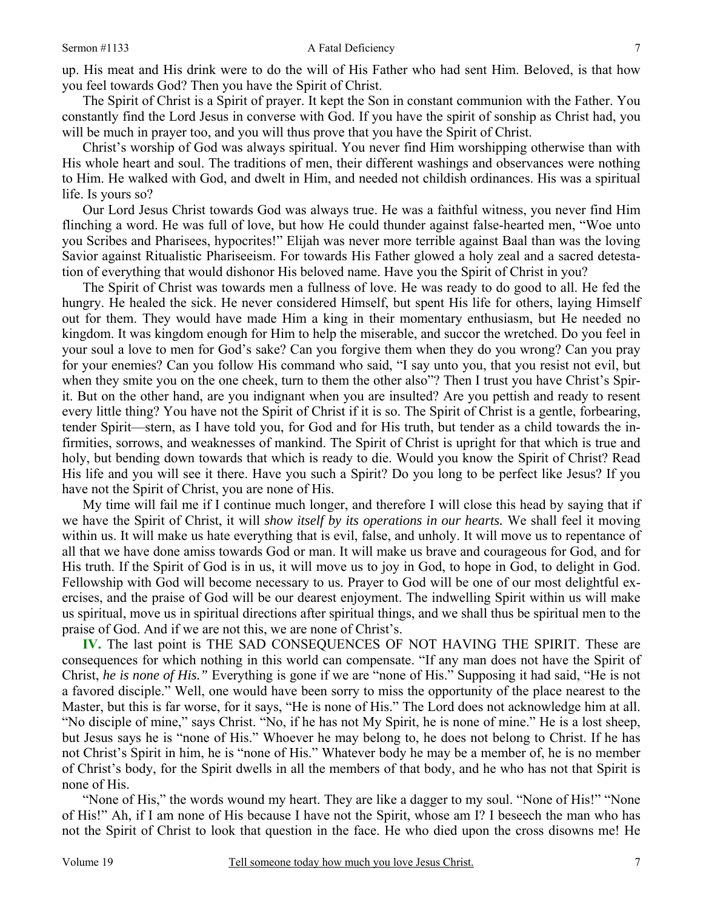up. His meat and His drink were to do the will of His Father who had sent Him. Beloved, is that how you feel towards God? Then you have the Spirit of Christ.

The Spirit of Christ is a Spirit of prayer. It kept the Son in constant communion with the Father. You constantly find the Lord Jesus in converse with God. If you have the spirit of sonship as Christ had, you will be much in prayer too, and you will thus prove that you have the Spirit of Christ.

Christ's worship of God was always spiritual. You never find Him worshipping otherwise than with His whole heart and soul. The traditions of men, their different washings and observances were nothing to Him. He walked with God, and dwelt in Him, and needed not childish ordinances. His was a spiritual life. Is yours so?

Our Lord Jesus Christ towards God was always true. He was a faithful witness, you never find Him flinching a word. He was full of love, but how He could thunder against false-hearted men, "Woe unto you Scribes and Pharisees, hypocrites!" Elijah was never more terrible against Baal than was the loving Savior against Ritualistic Phariseeism. For towards His Father glowed a holy zeal and a sacred detestation of everything that would dishonor His beloved name. Have you the Spirit of Christ in you?

The Spirit of Christ was towards men a fullness of love. He was ready to do good to all. He fed the hungry. He healed the sick. He never considered Himself, but spent His life for others, laying Himself out for them. They would have made Him a king in their momentary enthusiasm, but He needed no kingdom. It was kingdom enough for Him to help the miserable, and succor the wretched. Do you feel in your soul a love to men for God's sake? Can you forgive them when they do you wrong? Can you pray for your enemies? Can you follow His command who said, "I say unto you, that you resist not evil, but when they smite you on the one cheek, turn to them the other also"? Then I trust you have Christ's Spirit. But on the other hand, are you indignant when you are insulted? Are you pettish and ready to resent every little thing? You have not the Spirit of Christ if it is so. The Spirit of Christ is a gentle, forbearing, tender Spirit—stern, as I have told you, for God and for His truth, but tender as a child towards the infirmities, sorrows, and weaknesses of mankind. The Spirit of Christ is upright for that which is true and holy, but bending down towards that which is ready to die. Would you know the Spirit of Christ? Read His life and you will see it there. Have you such a Spirit? Do you long to be perfect like Jesus? If you have not the Spirit of Christ, you are none of His.

My time will fail me if I continue much longer, and therefore I will close this head by saying that if we have the Spirit of Christ, it will *show itself by its operations in our hearts.* We shall feel it moving within us. It will make us hate everything that is evil, false, and unholy. It will move us to repentance of all that we have done amiss towards God or man. It will make us brave and courageous for God, and for His truth. If the Spirit of God is in us, it will move us to joy in God, to hope in God, to delight in God. Fellowship with God will become necessary to us. Prayer to God will be one of our most delightful exercises, and the praise of God will be our dearest enjoyment. The indwelling Spirit within us will make us spiritual, move us in spiritual directions after spiritual things, and we shall thus be spiritual men to the praise of God. And if we are not this, we are none of Christ's.

**IV.** The last point is THE SAD CONSEQUENCES OF NOT HAVING THE SPIRIT. These are consequences for which nothing in this world can compensate. "If any man does not have the Spirit of Christ, *he is none of His."* Everything is gone if we are "none of His." Supposing it had said, "He is not a favored disciple." Well, one would have been sorry to miss the opportunity of the place nearest to the Master, but this is far worse, for it says, "He is none of His." The Lord does not acknowledge him at all. "No disciple of mine," says Christ. "No, if he has not My Spirit, he is none of mine." He is a lost sheep, but Jesus says he is "none of His." Whoever he may belong to, he does not belong to Christ. If he has not Christ's Spirit in him, he is "none of His." Whatever body he may be a member of, he is no member of Christ's body, for the Spirit dwells in all the members of that body, and he who has not that Spirit is none of His.

"None of His," the words wound my heart. They are like a dagger to my soul. "None of His!" "None of His!" Ah, if I am none of His because I have not the Spirit, whose am I? I beseech the man who has not the Spirit of Christ to look that question in the face. He who died upon the cross disowns me! He